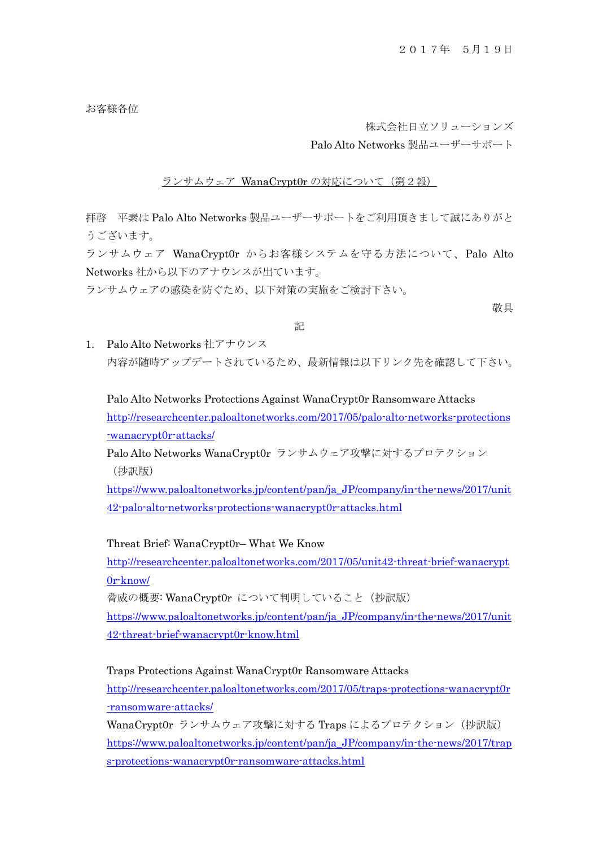お客様各位

株式会社日立ソリューションズ

Palo Alto Networks 製品ユーザーサポート

ランサムウェア WanaCrypt0r の対応について(第2報)

拝啓 平素は Palo Alto Networks 製品ユーザーサポートをご利用頂きまして誠にありがと うございます。

ランサムウェア WanaCrypt0r からお客様システムを守る方法について、Palo Alto Networks 社から以下のアナウンスが出ています。

ランサムウェアの感染を防ぐため、以下対策の実施をご検討下さい。

敬具

## 記

1. Palo Alto Networks 社アナウンス 内容が随時アップデートされているため、最新情報は以下リンク先を確認して下さい。

Palo Alto Networks Protections Against WanaCrypt0r Ransomware Attacks [http://researchcenter.paloaltonetworks.com/2017/05/palo-alto-networks-protections](http://researchcenter.paloaltonetworks.com/2017/05/palo-alto-networks-protections-wanacrypt0r-attacks/) [-wanacrypt0r-attacks/](http://researchcenter.paloaltonetworks.com/2017/05/palo-alto-networks-protections-wanacrypt0r-attacks/)

Palo Alto Networks WanaCrypt0r ランサムウェア攻撃に対するプロテクション (抄訳版)

[https://www.paloaltonetworks.jp/content/pan/ja\\_JP/company/in-the-news/2017/unit](https://www.paloaltonetworks.jp/content/pan/ja_JP/company/in-the-news/2017/unit42-palo-alto-networks-protections-wanacrypt0r-attacks.html) [42-palo-alto-networks-protections-wanacrypt0r-attacks.html](https://www.paloaltonetworks.jp/content/pan/ja_JP/company/in-the-news/2017/unit42-palo-alto-networks-protections-wanacrypt0r-attacks.html)

Threat Brief: WanaCrypt0r– What We Know

[http://researchcenter.paloaltonetworks.com/2017/05/unit42-threat-brief-wanacrypt](http://researchcenter.paloaltonetworks.com/2017/05/unit42-threat-brief-wanacrypt0r-know/) [0r-know/](http://researchcenter.paloaltonetworks.com/2017/05/unit42-threat-brief-wanacrypt0r-know/)

脅威の概要: WanaCrypt0r について判明していること(抄訳版)

[https://www.paloaltonetworks.jp/content/pan/ja\\_JP/company/in-the-news/2017/unit](https://www.paloaltonetworks.jp/content/pan/ja_JP/company/in-the-news/2017/unit42-threat-brief-wanacrypt0r-know.html) [42-threat-brief-wanacrypt0r-know.html](https://www.paloaltonetworks.jp/content/pan/ja_JP/company/in-the-news/2017/unit42-threat-brief-wanacrypt0r-know.html)

Traps Protections Against WanaCrypt0r Ransomware Attacks

[http://researchcenter.paloaltonetworks.com/2017/05/traps-protections-wanacrypt0r](http://researchcenter.paloaltonetworks.com/2017/05/traps-protections-wanacrypt0r-ransomware-attacks/) [-ransomware-attacks/](http://researchcenter.paloaltonetworks.com/2017/05/traps-protections-wanacrypt0r-ransomware-attacks/)

WanaCrypt0r ランサムウェア攻撃に対する Traps によるプロテクション (抄訳版) [https://www.paloaltonetworks.jp/content/pan/ja\\_JP/company/in-the-news/2017/trap](https://www.paloaltonetworks.jp/content/pan/ja_JP/company/in-the-news/2017/traps-protections-wanacrypt0r-ransomware-attacks.html) [s-protections-wanacrypt0r-ransomware-attacks.html](https://www.paloaltonetworks.jp/content/pan/ja_JP/company/in-the-news/2017/traps-protections-wanacrypt0r-ransomware-attacks.html)